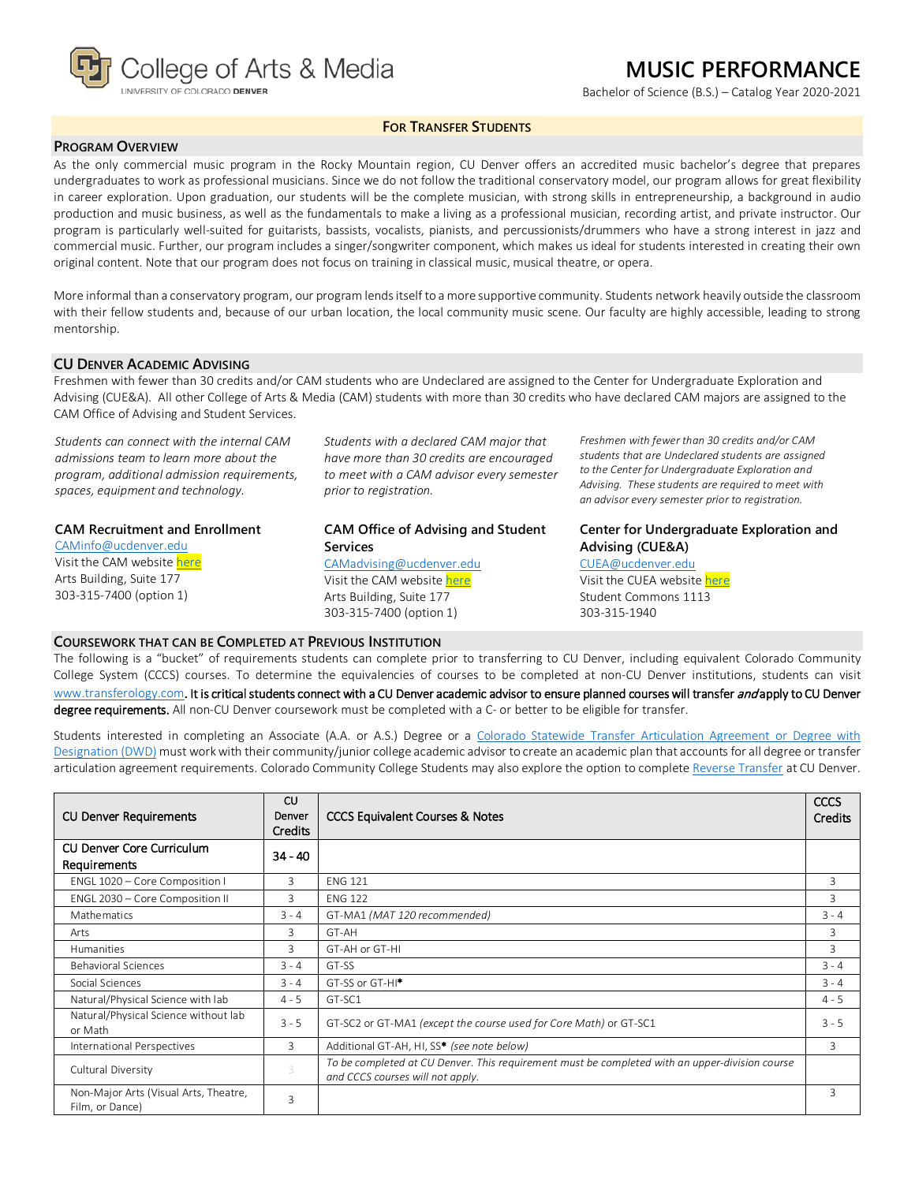

## **MUSIC PERFORMANCE**

Bachelor of Science (B.S.) – Catalog Year 2020-2021

### **FOR TRANSFER STUDENTS**

#### **PROGRAM OVERVIEW**

As the only commercial music program in the Rocky Mountain region, CU Denver offers an accredited music bachelor's degree that prepares undergraduates to work as professional musicians. Since we do not follow the traditional conservatory model, our program allows for great flexibility in career exploration. Upon graduation, our students will be the complete musician, with strong skills in entrepreneurship, a background in audio production and music business, as well as the fundamentals to make a living as a professional musician, recording artist, and private instructor. Our program is particularly well-suited for guitarists, bassists, vocalists, pianists, and percussionists/drummers who have a strong interest in jazz and commercial music. Further, our program includes a singer/songwriter component, which makes us ideal for students interested in creating their own original content. Note that our program does not focus on training in classical music, musical theatre, or opera.

More informal than a conservatory program, our program lends itself to a more supportive community. Students network heavily outside the classroom with their fellow students and, because of our urban location, the local community music scene. Our faculty are highly accessible, leading to strong mentorship.

#### **CU DENVER ACADEMIC ADVISING**

Freshmen with fewer than 30 credits and/or CAM students who are Undeclared are assigned to the Center for Undergraduate Exploration and Advising (CUE&A). All other College of Arts & Media (CAM) students with more than 30 credits who have declared CAM majors are assigned to the CAM Office of Advising and Student Services.

*Students can connect with the internal CAM admissions team to learn more about the program, additional admission requirements, spaces, equipment and technology.*

#### **CAM Recruitment and Enrollment**

[CAMinfo@ucdenver.edu](mailto:CAMinfo@ucdenver.edu) Visit the CAM websit[e here](https://artsandmedia.ucdenver.edu/prospective-students/prospective-students) Arts Building, Suite 177 303-315-7400 (option 1)

*Students with a declared CAM major that have more than 30 credits are encouraged to meet with a CAM advisor every semester prior to registration.*

### **CAM Office of Advising and Student Services**

[CAMadvising@ucdenver.edu](mailto:CAMadvising@ucdenver.edu) Visit the CAM websit[e here](https://artsandmedia.ucdenver.edu/current-students/about-academic-advising) Arts Building, Suite 177 303-315-7400 (option 1)

*Freshmen with fewer than 30 credits and/or CAM students that are Undeclared students are assigned to the Center for Undergraduate Exploration and Advising. These students are required to meet with an advisor every semester prior to registration.*

## **Center for Undergraduate Exploration and Advising (CUE&A)**

[CUEA@ucdenver.edu](mailto:CUEA@ucdenver.edu) Visit the CUEA website [here](https://www.ucdenver.edu/center-for-undergraduate-exploration-and-advising)

Student Commons 1113 303-315-1940

#### **COURSEWORK THAT CAN BE COMPLETED AT PREVIOUS INSTITUTION**

The following is a "bucket" of requirements students can complete prior to transferring to CU Denver, including equivalent Colorado Community College System (CCCS) courses. To determine the equivalencies of courses to be completed at non-CU Denver institutions, students can visit [www.transferology.com](http://www.transferology.com/)**.** It is critical students connect with a CU Denver academic advisor to ensure planned courses will transfer and apply to CU Denver degree requirements. All non-CU Denver coursework must be completed with a C- or better to be eligible for transfer.

Students interested in completing an Associate (A.A. or A.S.) Degree or a [Colorado Statewide Transfer Articulation Agreement or Degree with](https://highered.colorado.gov/Academics/Transfers/TransferDegrees.html)  [Designation \(DWD\)](https://highered.colorado.gov/Academics/Transfers/TransferDegrees.html) must work with their community/junior college academic advisor to create an academic plan that accounts for all degree or transfer articulation agreement requirements. Colorado Community College Students may also explore the option to complet[e Reverse Transfer](https://degreewithinreach.wordpress.com/) at CU Denver.

| <b>CU Denver Requirements</b>                            | <b>CU</b><br>Denver<br><b>Credits</b> | <b>CCCS Equivalent Courses &amp; Notes</b>                                                                                         | <b>CCCS</b><br>Credits |
|----------------------------------------------------------|---------------------------------------|------------------------------------------------------------------------------------------------------------------------------------|------------------------|
| <b>CU Denver Core Curriculum</b><br>Requirements         | $34 - 40$                             |                                                                                                                                    |                        |
| ENGL 1020 - Core Composition I                           | 3                                     | <b>ENG 121</b>                                                                                                                     | 3                      |
| ENGL 2030 - Core Composition II                          | 3                                     | <b>ENG 122</b>                                                                                                                     | 3                      |
| Mathematics                                              | $3 - 4$                               | GT-MA1 (MAT 120 recommended)                                                                                                       | $3 - 4$                |
| Arts                                                     | 3                                     | GT-AH                                                                                                                              | 3                      |
| Humanities                                               | 3                                     | GT-AH or GT-HI                                                                                                                     | 3                      |
| <b>Behavioral Sciences</b>                               | $3 - 4$                               | GT-SS                                                                                                                              | $3 - 4$                |
| Social Sciences                                          | $3 - 4$                               | GT-SS or GT-HI <sup>*</sup>                                                                                                        | $3 - 4$                |
| Natural/Physical Science with lab                        | $4 - 5$                               | GT-SC1                                                                                                                             | $4 - 5$                |
| Natural/Physical Science without lab<br>or Math          | $3 - 5$                               | GT-SC2 or GT-MA1 (except the course used for Core Math) or GT-SC1                                                                  | $3 - 5$                |
| International Perspectives                               | 3                                     | Additional GT-AH, HI, SS* (see note below)                                                                                         | 3                      |
| Cultural Diversity                                       | 3                                     | To be completed at CU Denver. This requirement must be completed with an upper-division course<br>and CCCS courses will not apply. |                        |
| Non-Major Arts (Visual Arts, Theatre,<br>Film, or Dance) | 3                                     |                                                                                                                                    | 3                      |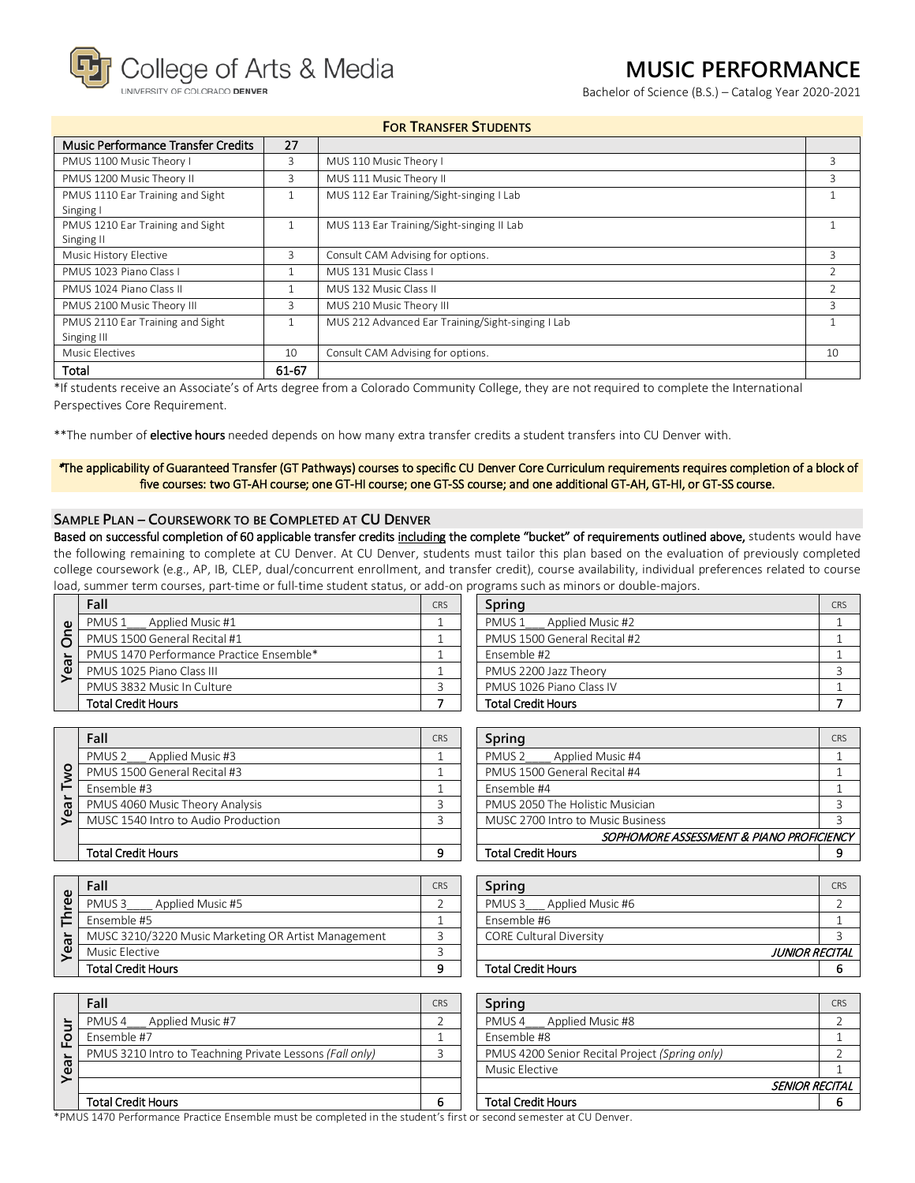College of Arts & Media

COLORADO DENVER

# **MUSIC PERFORMANCE**

Bachelor of Science (B.S.) – Catalog Year 2020-2021

## **FOR TRANSFER STUDENTS**

| Music Performance Transfer Credits | 27    |                                                   |               |
|------------------------------------|-------|---------------------------------------------------|---------------|
| PMUS 1100 Music Theory I           | 3     | MUS 110 Music Theory I                            | 3             |
| PMUS 1200 Music Theory II          | 3     | MUS 111 Music Theory II                           | 3             |
| PMUS 1110 Ear Training and Sight   |       | MUS 112 Ear Training/Sight-singing I Lab          |               |
| Singing I                          |       |                                                   |               |
| PMUS 1210 Ear Training and Sight   |       | MUS 113 Ear Training/Sight-singing II Lab         |               |
| Singing II                         |       |                                                   |               |
| Music History Elective             | 3     | Consult CAM Advising for options.                 | 3             |
| PMUS 1023 Piano Class I            |       | MUS 131 Music Class I                             | $\mathcal{P}$ |
| PMUS 1024 Piano Class II           |       | MUS 132 Music Class II                            |               |
| PMUS 2100 Music Theory III         | 3     | MUS 210 Music Theory III                          | 3             |
| PMUS 2110 Ear Training and Sight   |       | MUS 212 Advanced Ear Training/Sight-singing I Lab |               |
| Singing III                        |       |                                                   |               |
| Music Electives                    | 10    | Consult CAM Advising for options.                 | 10            |
| Total                              | 61-67 |                                                   |               |

\*If students receive an Associate's of Arts degree from a Colorado Community College, they are not required to complete the International Perspectives Core Requirement.

\*\*The number of elective hours needed depends on how many extra transfer credits a student transfers into CU Denver with.

#### \*The applicability of Guaranteed Transfer (GT Pathways) courses to specific CU Denver Core Curriculum requirements requires completion of a block of five courses: two GT-AH course; one GT-HI course; one GT-SS course; and one additional GT-AH, GT-HI, or GT-SS course.

## **SAMPLE PLAN – COURSEWORK TO BE COMPLETED AT CU DENVER**

Based on successful completion of 60 applicable transfer credits including the complete "bucket" of requirements outlined above, students would have the following remaining to complete at CU Denver. At CU Denver, students must tailor this plan based on the evaluation of previously completed college coursework (e.g., AP, IB, CLEP, dual/concurrent enrollment, and transfer credit), course availability, individual preferences related to course load, summer term courses, part-time or full-time student status, or add-on programs such as minors or double-majors.

|                      | Fall                                     | CRS | Spring                       | CRS |
|----------------------|------------------------------------------|-----|------------------------------|-----|
| $\omega$             | Applied Music #1<br>PMUS <sub>1</sub>    |     | Applied Music #2<br>PMUS 1   |     |
| ò<br>$\equiv$<br>vea | PMUS 1500 General Recital #1             |     | PMUS 1500 General Recital #2 |     |
|                      | PMUS 1470 Performance Practice Ensemble* |     | Ensemble #2                  |     |
|                      | PMUS 1025 Piano Class III                |     | PMUS 2200 Jazz Theory        |     |
|                      | PMUS 3832 Music In Culture               |     | PMUS 1026 Piano Class IV     |     |
|                      | <b>Total Credit Hours</b>                |     | <b>Total Credit Hours</b>    |     |

| <u>officialis sacritas inimors or abable inalois.</u> |  |  |  |  |
|-------------------------------------------------------|--|--|--|--|
| Spring                                                |  |  |  |  |
| PMUS 1 Applied Music #2                               |  |  |  |  |
| PMUS 1500 General Recital #2                          |  |  |  |  |
| Ensemble #2                                           |  |  |  |  |
| PMUS 2200 Jazz Theory                                 |  |  |  |  |
| PMUS 1026 Piano Class IV                              |  |  |  |  |
| <b>Total Credit Hours</b>                             |  |  |  |  |

|    | Fall                                | <b>CRS</b> | Spring                                  | C <sub>RS</sub> |
|----|-------------------------------------|------------|-----------------------------------------|-----------------|
|    | Applied Music #3<br>PMUS 2          |            | Applied Music #4<br>PMUS <sub>2</sub>   |                 |
| ō  | PMUS 1500 General Recital #3        |            | PMUS 1500 General Recital #4            |                 |
|    | Ensemble #3                         |            | Fnsemble #4                             |                 |
| ea | PMUS 4060 Music Theory Analysis     |            | PMUS 2050 The Holistic Musician         |                 |
|    | MUSC 1540 Intro to Audio Production |            | MUSC 2700 Intro to Music Business       |                 |
|    |                                     |            | SOPHOMORE ASSESSMENT & PIANO PROFICIENO |                 |
|    | <b>Total Credit Hours</b>           |            | <b>Total Credit Hours</b>               | ۰Q              |

| CRS                                      |
|------------------------------------------|
|                                          |
|                                          |
|                                          |
|                                          |
|                                          |
|                                          |
| SOPHOMORE ASSESSMENT & PIANO PROFICIENCY |
|                                          |
|                                          |

| Φ  | Fall                                                | <b>CRS</b> | Spring                                | CRS           |
|----|-----------------------------------------------------|------------|---------------------------------------|---------------|
| ၑ  | Applied Music #5<br>PMUS <sub>3</sub>               |            | Applied Music #6<br>PMUS <sub>3</sub> |               |
|    | Ensemble #5                                         |            | Ensemble #6                           |               |
| ār | MUSC 3210/3220 Music Marketing OR Artist Management |            | <b>CORE Cultural Diversity</b>        |               |
| ዾ  | Music Elective                                      |            |                                       | JUNIOR RECITA |
|    | <b>Total Credit Hours</b>                           |            | <b>Total Credit Hours</b>             |               |

| Fall                                                | CRS | Spring                                | CR <sup>5</sup> |
|-----------------------------------------------------|-----|---------------------------------------|-----------------|
| PMUS3<br>Applied Music #5                           |     | PMUS <sub>3</sub><br>Applied Music #6 |                 |
| Ensemble #5                                         |     | Ensemble #6                           |                 |
| MUSC 3210/3220 Music Marketing OR Artist Management |     | <b>CORE Cultural Diversity</b>        |                 |
| Music Elective                                      |     | JUNIOR RECITAL                        |                 |
| Total Credit Hours                                  |     | <b>Total Credit Hours</b>             |                 |

| ш<br>ᠭᠣ | Fall                                                     | CRS | Spring                                         | C <sub>RS</sub> |
|---------|----------------------------------------------------------|-----|------------------------------------------------|-----------------|
|         | PMUS 4 Applied Music #7                                  |     | PMUS 4 Applied Music #8                        |                 |
|         | Ensemble #7                                              |     | Ensemble #8                                    |                 |
|         | PMUS 3210 Intro to Teachning Private Lessons (Fall only) |     | PMUS 4200 Senior Recital Project (Spring only) |                 |
|         |                                                          |     | Music Elective                                 |                 |
|         |                                                          |     | <b>SENIOR RECITAL</b>                          |                 |
|         | <b>Total Credit Hours</b>                                | 6   | <b>Total Credit Hours</b>                      |                 |

\*PMUS 1470 Performance Practice Ensemble must be completed in the student's first or second semester at CU Denver.